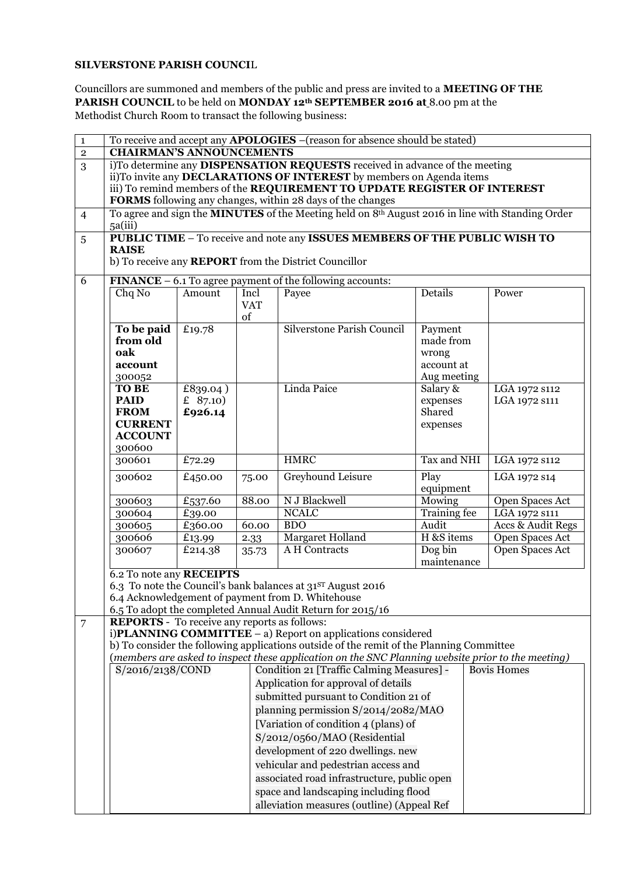## **SILVERSTONE PARISH COUNCI**L

Councillors are summoned and members of the public and press are invited to a **MEETING OF THE PARISH COUNCIL** to be held on **MONDAY 12th SEPTEMBER 2016 at** 8.00 pm at the Methodist Church Room to transact the following business:

| $\mathbf{1}$   | To receive and accept any <b>APOLOGIES</b> -(reason for absence should be stated)                                                      |                                                                                                                     |            |                                                                                                   |                         |                                    |  |  |  |
|----------------|----------------------------------------------------------------------------------------------------------------------------------------|---------------------------------------------------------------------------------------------------------------------|------------|---------------------------------------------------------------------------------------------------|-------------------------|------------------------------------|--|--|--|
| $\overline{2}$ | <b>CHAIRMAN'S ANNOUNCEMENTS</b>                                                                                                        |                                                                                                                     |            |                                                                                                   |                         |                                    |  |  |  |
| 3              | i)To determine any DISPENSATION REQUESTS received in advance of the meeting                                                            |                                                                                                                     |            |                                                                                                   |                         |                                    |  |  |  |
|                | ii)To invite any <b>DECLARATIONS OF INTEREST</b> by members on Agenda items                                                            |                                                                                                                     |            |                                                                                                   |                         |                                    |  |  |  |
|                | iii) To remind members of the REQUIREMENT TO UPDATE REGISTER OF INTEREST<br>FORMS following any changes, within 28 days of the changes |                                                                                                                     |            |                                                                                                   |                         |                                    |  |  |  |
| $\overline{4}$ |                                                                                                                                        |                                                                                                                     |            |                                                                                                   |                         |                                    |  |  |  |
|                | 5a(iii)                                                                                                                                | To agree and sign the <b>MINUTES</b> of the Meeting held on 8 <sup>th</sup> August 2016 in line with Standing Order |            |                                                                                                   |                         |                                    |  |  |  |
| 5              |                                                                                                                                        | PUBLIC TIME - To receive and note any ISSUES MEMBERS OF THE PUBLIC WISH TO                                          |            |                                                                                                   |                         |                                    |  |  |  |
|                | <b>RAISE</b>                                                                                                                           |                                                                                                                     |            |                                                                                                   |                         |                                    |  |  |  |
|                |                                                                                                                                        |                                                                                                                     |            | b) To receive any <b>REPORT</b> from the District Councillor                                      |                         |                                    |  |  |  |
| 6              |                                                                                                                                        |                                                                                                                     |            | <b>FINANCE</b> $- 6.1$ To agree payment of the following accounts:                                |                         |                                    |  |  |  |
|                | Chq No                                                                                                                                 | Amount                                                                                                              | Incl       | Payee                                                                                             | Details                 | Power                              |  |  |  |
|                |                                                                                                                                        |                                                                                                                     | <b>VAT</b> |                                                                                                   |                         |                                    |  |  |  |
|                |                                                                                                                                        |                                                                                                                     | of         |                                                                                                   |                         |                                    |  |  |  |
|                | To be paid                                                                                                                             | £19.78                                                                                                              |            | Silverstone Parish Council                                                                        | Payment                 |                                    |  |  |  |
|                | from old                                                                                                                               |                                                                                                                     |            |                                                                                                   | made from               |                                    |  |  |  |
|                | oak                                                                                                                                    |                                                                                                                     |            |                                                                                                   | wrong                   |                                    |  |  |  |
|                | account                                                                                                                                |                                                                                                                     |            |                                                                                                   | account at              |                                    |  |  |  |
|                | 300052<br><b>TO BE</b>                                                                                                                 |                                                                                                                     |            | Linda Paice                                                                                       | Aug meeting<br>Salary & |                                    |  |  |  |
|                | <b>PAID</b>                                                                                                                            | £839.04)<br>£ $87.10$                                                                                               |            |                                                                                                   | expenses                | LGA 1972 s112<br>LGA 1972 S111     |  |  |  |
|                | <b>FROM</b>                                                                                                                            | £926.14                                                                                                             |            |                                                                                                   | Shared                  |                                    |  |  |  |
|                | <b>CURRENT</b>                                                                                                                         |                                                                                                                     |            |                                                                                                   | expenses                |                                    |  |  |  |
|                | <b>ACCOUNT</b>                                                                                                                         |                                                                                                                     |            |                                                                                                   |                         |                                    |  |  |  |
|                | 300600                                                                                                                                 |                                                                                                                     |            |                                                                                                   |                         |                                    |  |  |  |
|                | 300601                                                                                                                                 | £72.29                                                                                                              |            | <b>HMRC</b>                                                                                       | Tax and NHI             | LGA 1972 s112                      |  |  |  |
|                | 300602                                                                                                                                 | £450.00                                                                                                             | 75.00      | Greyhound Leisure                                                                                 | Play                    | LGA 1972 s14                       |  |  |  |
|                |                                                                                                                                        |                                                                                                                     |            |                                                                                                   | equipment               |                                    |  |  |  |
|                | 300603                                                                                                                                 | £537.60                                                                                                             | 88.00      | N J Blackwell                                                                                     | Mowing                  | Open Spaces Act                    |  |  |  |
|                | 300604<br>300605                                                                                                                       | £39.00<br>£360.00                                                                                                   | 60.00      | <b>NCALC</b><br><b>BDO</b>                                                                        | Training fee<br>Audit   | LGA 1972 S111<br>Accs & Audit Regs |  |  |  |
|                | 300606                                                                                                                                 | £13.99                                                                                                              | 2.33       | Margaret Holland                                                                                  | H &S items              | Open Spaces Act                    |  |  |  |
|                | 300607                                                                                                                                 | £214.38                                                                                                             | 35.73      | A H Contracts                                                                                     | Dog bin                 | Open Spaces Act                    |  |  |  |
|                |                                                                                                                                        |                                                                                                                     |            |                                                                                                   | maintenance             |                                    |  |  |  |
|                | 6.2 To note any RECEIPTS                                                                                                               |                                                                                                                     |            |                                                                                                   |                         |                                    |  |  |  |
|                |                                                                                                                                        |                                                                                                                     |            | 6.3 To note the Council's bank balances at 31ST August 2016                                       |                         |                                    |  |  |  |
|                |                                                                                                                                        |                                                                                                                     |            | 6.4 Acknowledgement of payment from D. Whitehouse                                                 |                         |                                    |  |  |  |
|                |                                                                                                                                        |                                                                                                                     |            | 6.5 To adopt the completed Annual Audit Return for 2015/16                                        |                         |                                    |  |  |  |
| $\overline{7}$ | <b>REPORTS</b> - To receive any reports as follows:                                                                                    |                                                                                                                     |            | i) $PLANNING$ COMMITTEE $-$ a) Report on applications considered                                  |                         |                                    |  |  |  |
|                |                                                                                                                                        |                                                                                                                     |            | b) To consider the following applications outside of the remit of the Planning Committee          |                         |                                    |  |  |  |
|                |                                                                                                                                        |                                                                                                                     |            | (members are asked to inspect these application on the SNC Planning website prior to the meeting) |                         |                                    |  |  |  |
|                | S/2016/2138/COND                                                                                                                       |                                                                                                                     |            | Condition 21 [Traffic Calming Measures] -                                                         |                         | <b>Bovis Homes</b>                 |  |  |  |
|                |                                                                                                                                        |                                                                                                                     |            | Application for approval of details                                                               |                         |                                    |  |  |  |
|                |                                                                                                                                        |                                                                                                                     |            | submitted pursuant to Condition 21 of                                                             |                         |                                    |  |  |  |
|                |                                                                                                                                        |                                                                                                                     |            | planning permission S/2014/2082/MAO                                                               |                         |                                    |  |  |  |
|                |                                                                                                                                        | [Variation of condition 4 (plans) of                                                                                |            |                                                                                                   |                         |                                    |  |  |  |
|                | S/2012/0560/MAO (Residential<br>development of 220 dwellings. new                                                                      |                                                                                                                     |            |                                                                                                   |                         |                                    |  |  |  |
|                |                                                                                                                                        |                                                                                                                     |            |                                                                                                   |                         |                                    |  |  |  |
|                | vehicular and pedestrian access and                                                                                                    |                                                                                                                     |            |                                                                                                   |                         |                                    |  |  |  |
|                | associated road infrastructure, public open                                                                                            |                                                                                                                     |            |                                                                                                   |                         |                                    |  |  |  |
|                |                                                                                                                                        |                                                                                                                     |            | space and landscaping including flood                                                             |                         |                                    |  |  |  |
|                | alleviation measures (outline) (Appeal Ref                                                                                             |                                                                                                                     |            |                                                                                                   |                         |                                    |  |  |  |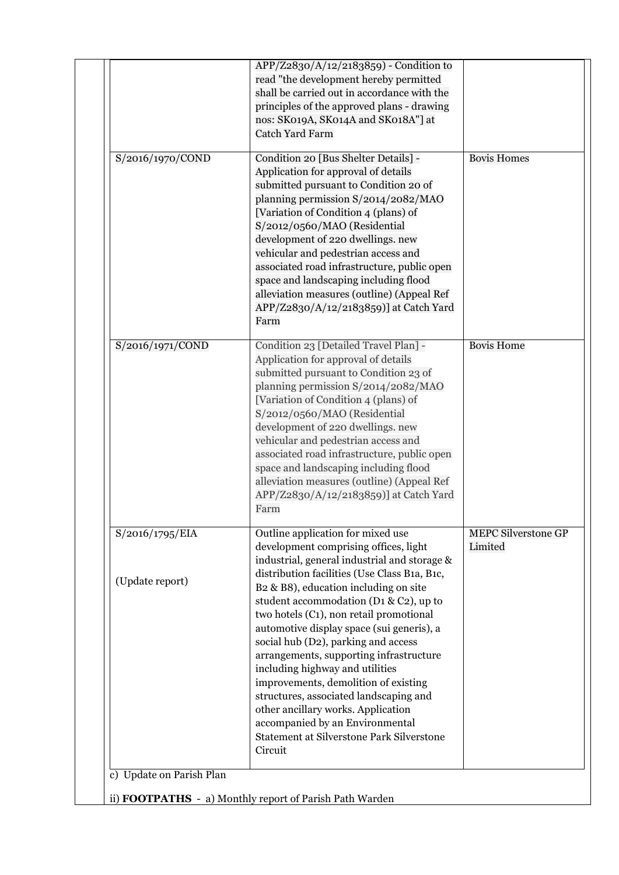|                                    | APP/Z2830/A/12/2183859) - Condition to<br>read "the development hereby permitted<br>shall be carried out in accordance with the<br>principles of the approved plans - drawing<br>nos: SK019A, SK014A and SK018A"] at<br><b>Catch Yard Farm</b>                                                                                                                                                                                                                                                                                                                                                                                                                                                |                                       |
|------------------------------------|-----------------------------------------------------------------------------------------------------------------------------------------------------------------------------------------------------------------------------------------------------------------------------------------------------------------------------------------------------------------------------------------------------------------------------------------------------------------------------------------------------------------------------------------------------------------------------------------------------------------------------------------------------------------------------------------------|---------------------------------------|
| S/2016/1970/COND                   | Condition 20 [Bus Shelter Details] -<br>Application for approval of details<br>submitted pursuant to Condition 20 of<br>planning permission S/2014/2082/MAO<br>[Variation of Condition 4 (plans) of<br>S/2012/0560/MAO (Residential<br>development of 220 dwellings. new<br>vehicular and pedestrian access and<br>associated road infrastructure, public open<br>space and landscaping including flood<br>alleviation measures (outline) (Appeal Ref<br>APP/Z2830/A/12/2183859)] at Catch Yard<br>Farm                                                                                                                                                                                       | <b>Bovis Homes</b>                    |
| S/2016/1971/COND                   | Condition 23 [Detailed Travel Plan] -<br>Application for approval of details<br>submitted pursuant to Condition 23 of<br>planning permission S/2014/2082/MAO<br>[Variation of Condition 4 (plans) of<br>S/2012/0560/MAO (Residential<br>development of 220 dwellings. new<br>vehicular and pedestrian access and<br>associated road infrastructure, public open<br>space and landscaping including flood<br>alleviation measures (outline) (Appeal Ref<br>APP/Z2830/A/12/2183859)] at Catch Yard<br>Farm                                                                                                                                                                                      | <b>Bovis Home</b>                     |
| S/2016/1795/EIA<br>(Update report) | Outline application for mixed use<br>development comprising offices, light<br>industrial, general industrial and storage &<br>distribution facilities (Use Class B1a, B1c,<br>B2 & B8), education including on site<br>student accommodation (D1 & C2), up to<br>two hotels (C1), non retail promotional<br>automotive display space (sui generis), a<br>social hub (D2), parking and access<br>arrangements, supporting infrastructure<br>including highway and utilities<br>improvements, demolition of existing<br>structures, associated landscaping and<br>other ancillary works. Application<br>accompanied by an Environmental<br>Statement at Silverstone Park Silverstone<br>Circuit | <b>MEPC Silverstone GP</b><br>Limited |